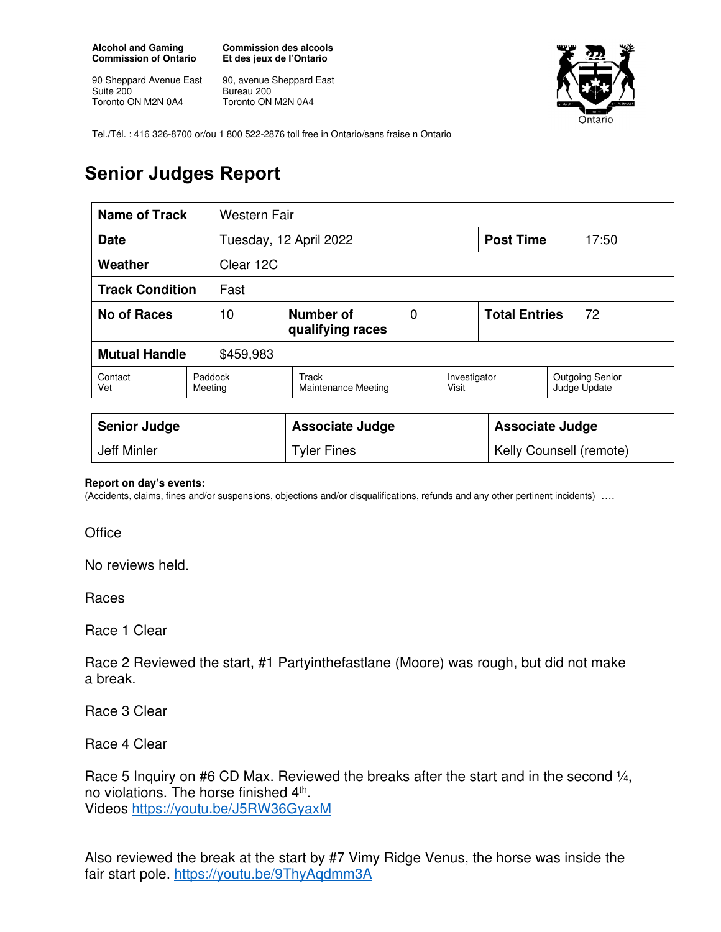**Alcohol and Gaming Commission of Ontario** 

90 Sheppard Avenue East Suite 200 Toronto ON M2N 0A4

**Commission des alcools Et des jeux de l'Ontario** 

90, avenue Sheppard East Bureau 200 Toronto ON M2N 0A4



Tel./Tél. : 416 326-8700 or/ou 1 800 522-2876 toll free in Ontario/sans fraise n Ontario

## **Senior Judges Report**

|                                   | <b>Name of Track</b><br><b>Western Fair</b> |                              |                       |                            |       |                                        |  |
|-----------------------------------|---------------------------------------------|------------------------------|-----------------------|----------------------------|-------|----------------------------------------|--|
| <b>Date</b>                       |                                             | Tuesday, 12 April 2022       |                       | <b>Post Time</b>           | 17:50 |                                        |  |
| Weather                           | Clear 12C                                   |                              |                       |                            |       |                                        |  |
| <b>Track Condition</b><br>Fast    |                                             |                              |                       |                            |       |                                        |  |
| <b>No of Races</b>                | Number of<br>10<br>0<br>qualifying races    |                              |                       | <b>Total Entries</b><br>72 |       |                                        |  |
| <b>Mutual Handle</b><br>\$459,983 |                                             |                              |                       |                            |       |                                        |  |
| Contact<br>Vet                    | Paddock<br>Meeting                          | Track<br>Maintenance Meeting | Investigator<br>Visit |                            |       | <b>Outgoing Senior</b><br>Judge Update |  |
|                                   |                                             |                              |                       |                            |       |                                        |  |
| <b>Senior Judge</b>               |                                             | <b>Associate Judge</b>       |                       | <b>Associate Judge</b>     |       |                                        |  |
| Jeff Minler                       |                                             | <b>Tyler Fines</b>           |                       | Kelly Counsell (remote)    |       |                                        |  |

## **Report on day's events:**

(Accidents, claims, fines and/or suspensions, objections and/or disqualifications, refunds and any other pertinent incidents) ….

**Office** 

No reviews held.

Races

Race 1 Clear

Race 2 Reviewed the start, #1 Partyinthefastlane (Moore) was rough, but did not make a break.

Race 3 Clear

Race 4 Clear

Race 5 Inquiry on #6 CD Max. Reviewed the breaks after the start and in the second 1/4, no violations. The horse finished 4<sup>th</sup>. Videos https://youtu.be/J5RW36GyaxM

Also reviewed the break at the start by #7 Vimy Ridge Venus, the horse was inside the fair start pole. https://youtu.be/9ThyAqdmm3A